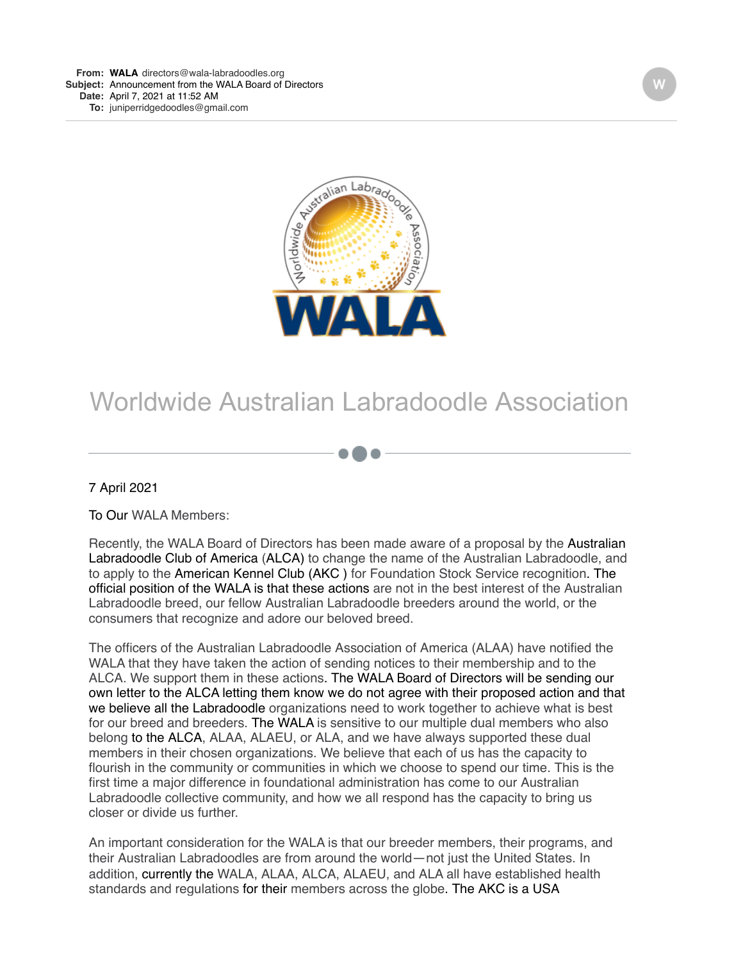

## Worldwide Australian Labradoodle Association

7 April 2021

To Our WALA Members:

Recently, the WALA Board of Directors has been made aware of a proposal by the Australian Labradoodle Club of America (ALCA) to change the name of the Australian Labradoodle, and to apply to the American Kennel Club (AKC ) for Foundation Stock Service recognition. The official position of the WALA is that these actions are not in the best interest of the Australian Labradoodle breed, our fellow Australian Labradoodle breeders around the world, or the consumers that recognize and adore our beloved breed.

The officers of the Australian Labradoodle Association of America (ALAA) have notified the WALA that they have taken the action of sending notices to their membership and to the ALCA. We support them in these actions. The WALA Board of Directors will be sending our own letter to the ALCA letting them know we do not agree with their proposed action and that we believe all the Labradoodle organizations need to work together to achieve what is best for our breed and breeders. The WALA is sensitive to our multiple dual members who also belong to the ALCA, ALAA, ALAEU, or ALA, and we have always supported these dual members in their chosen organizations. We believe that each of us has the capacity to flourish in the community or communities in which we choose to spend our time. This is the first time a major difference in foundational administration has come to our Australian Labradoodle collective community, and how we all respond has the capacity to bring us closer or divide us further.

An important consideration for the WALA is that our breeder members, their programs, and their Australian Labradoodles are from around the world—not just the United States. In addition, currently the WALA, ALAA, ALCA, ALAEU, and ALA all have established health standards and regulations for their members across the globe. The AKC is a USA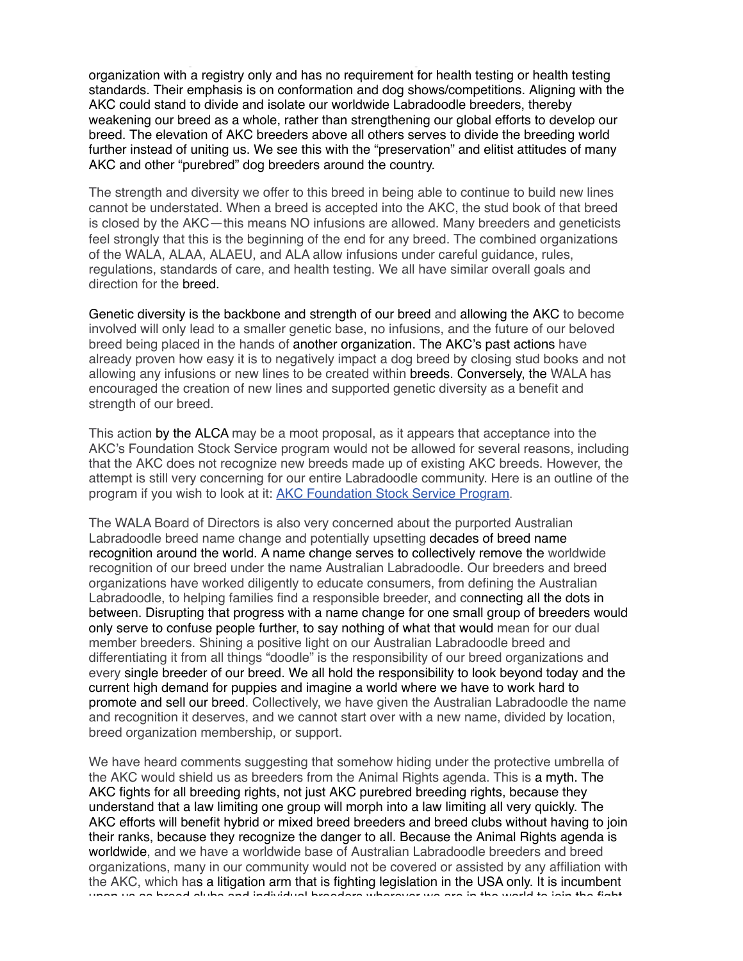standards and regulations for their members across the globe. The AKC is a USA organization with a registry only and has no requirement for health testing or health testing standards. Their emphasis is on conformation and dog shows/competitions. Aligning with the AKC could stand to divide and isolate our worldwide Labradoodle breeders, thereby weakening our breed as a whole, rather than strengthening our global efforts to develop our breed. The elevation of AKC breeders above all others serves to divide the breeding world further instead of uniting us. We see this with the "preservation" and elitist attitudes of many AKC and other "purebred" dog breeders around the country.

The strength and diversity we offer to this breed in being able to continue to build new lines cannot be understated. When a breed is accepted into the AKC, the stud book of that breed is closed by the AKC—this means NO infusions are allowed. Many breeders and geneticists feel strongly that this is the beginning of the end for any breed. The combined organizations of the WALA, ALAA, ALAEU, and ALA allow infusions under careful guidance, rules, regulations, standards of care, and health testing. We all have similar overall goals and direction for the breed.

Genetic diversity is the backbone and strength of our breed and allowing the AKC to become involved will only lead to a smaller genetic base, no infusions, and the future of our beloved breed being placed in the hands of another organization. The AKC's past actions have already proven how easy it is to negatively impact a dog breed by closing stud books and not allowing any infusions or new lines to be created within breeds. Conversely, the WALA has encouraged the creation of new lines and supported genetic diversity as a benefit and strength of our breed.

This action by the ALCA may be a moot proposal, as it appears that acceptance into the AKC's Foundation Stock Service program would not be allowed for several reasons, including that the AKC does not recognize new breeds made up of existing AKC breeds. However, the attempt is still very concerning for our entire Labradoodle community. Here is an outline of the program if you wish to look at it: [AKC Foundation Stock Service Program](http://r20.rs6.net/tn.jsp?f=0013Kdx2Nh0-q_iUNN2d-ncxmrAc9tea4B-ioVqJocWLyKNieVE6ccxfR2BLeIBjvGWo-ZwWMpupzE9C_cAm82X337IOjXycgMI1coRQZsAhh9YEmue4YQVCHgE16Lb3SacJLxtUdxIQSYz5xKiSijR2FJDNMmXhM12J-aYgHI87bopeV4S_pxE4R8pyOsohGNuntZQ2D1FiHv27eXSuDe50F-7biY_m-MVFMi9lr2x8tZUfgFD8ZsmxfMSUoFqT_u4VkvXDYLExzoufWRUOIP3DFMoj-5YtA7kmUr717kxLPS_MpBtmg68_D_DOU1h1pDDgsBWk9LGhhNvJtjbo0fG3zVdHRJePaMkuLKXWTvy5FnUOrJi-G-ipR_5sG4__vlihm-anx9X1V-JM4IV966e0MuYTMX9g3efOUK1Pmaup0wIkyrY0mHI3YPjL1EQfQIwoCMi9w5jgiUFtiu9d7NNApPN5umpyiE1&c=73I-uCiGgI8PxJ2QZRNOGwTTgw9VnC6WwJr8qFmhTVrvxgdCwJdxeA==&ch=zdq6r6uZ1xbpMBeEpsVnS5Ts_XaE3B6MQ8M3IsC4xNmP7Pa0Godbzg==&jrc=1).

The WALA Board of Directors is also very concerned about the purported Australian Labradoodle breed name change and potentially upsetting decades of breed name recognition around the world. A name change serves to collectively remove the worldwide recognition of our breed under the name Australian Labradoodle. Our breeders and breed organizations have worked diligently to educate consumers, from defining the Australian Labradoodle, to helping families find a responsible breeder, and connecting all the dots in between. Disrupting that progress with a name change for one small group of breeders would only serve to confuse people further, to say nothing of what that would mean for our dual member breeders. Shining a positive light on our Australian Labradoodle breed and differentiating it from all things "doodle" is the responsibility of our breed organizations and every single breeder of our breed. We all hold the responsibility to look beyond today and the current high demand for puppies and imagine a world where we have to work hard to promote and sell our breed. Collectively, we have given the Australian Labradoodle the name and recognition it deserves, and we cannot start over with a new name, divided by location, breed organization membership, or support.

We have heard comments suggesting that somehow hiding under the protective umbrella of the AKC would shield us as breeders from the Animal Rights agenda. This is a myth. The AKC fights for all breeding rights, not just AKC purebred breeding rights, because they understand that a law limiting one group will morph into a law limiting all very quickly. The AKC efforts will benefit hybrid or mixed breed breeders and breed clubs without having to join their ranks, because they recognize the danger to all. Because the Animal Rights agenda is worldwide, and we have a worldwide base of Australian Labradoodle breeders and breed organizations, many in our community would not be covered or assisted by any affiliation with the AKC, which has a litigation arm that is fighting legislation in the USA only. It is incumbent upon us as breed clubs and individual breeders wherever we are in the world to join the fight